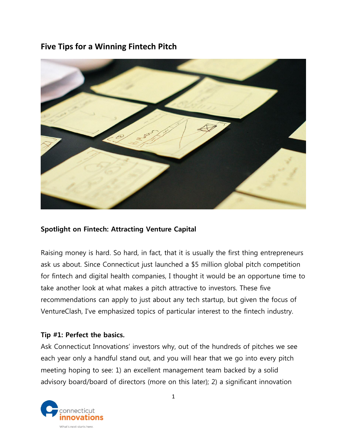# **Five Tips for a Winning Fintech Pitch**



## **Spotlight on Fintech: Attracting Venture Capital**

Raising money is hard. So hard, in fact, that it is usually the first thing entrepreneurs ask us about. Since Connecticut just launched a \$5 million global pitch competition for fintech and digital health companies, I thought it would be an opportune time to take another look at what makes a pitch attractive to investors. These five recommendations can apply to just about any tech startup, but given the focus of VentureClash, I've emphasized topics of particular interest to the fintech industry.

#### **Tip #1: Perfect the basics.**

Ask Connecticut Innovations' investors why, out of the hundreds of pitches we see each year only a handful stand out, and you will hear that we go into every pitch meeting hoping to see: 1) an excellent management team backed by a solid advisory board/board of directors (more on this later); 2) a significant innovation

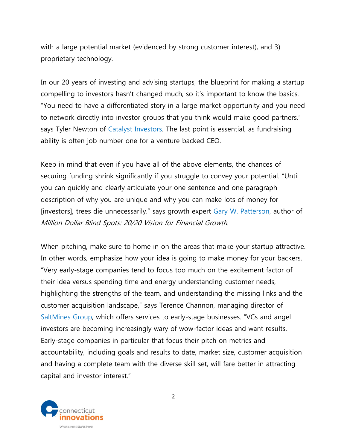with a large potential market (evidenced by strong customer interest), and 3) proprietary technology.

In our 20 years of investing and advising startups, the blueprint for making a startup compelling to investors hasn't changed much, so it's important to know the basics. "You need to have a differentiated story in a large market opportunity and you need to network directly into investor groups that you think would make good partners," says Tyler Newton of [Catalyst Investors.](http://www.catalyst.com/) The last point is essential, as fundraising ability is often job number one for a venture backed CEO.

Keep in mind that even if you have all of the above elements, the chances of securing funding shrink significantly if you struggle to convey your potential. "Until you can quickly and clearly articulate your one sentence and one paragraph description of why you are unique and why you can make lots of money for [investors], trees die unnecessarily." says growth expert [Gary W. Patterson,](http://www.fiscaldoctor.com/) author of Million Dollar Blind Spots: 20/20 Vision for Financial Growth.

When pitching, make sure to home in on the areas that make your startup attractive. In other words, emphasize how your idea is going to make money for your backers. "Very early-stage companies tend to focus too much on the excitement factor of their idea versus spending time and energy understanding customer needs, highlighting the strengths of the team, and understanding the missing links and the customer acquisition landscape," says Terence Channon, managing director of [SaltMines Group,](http://www.saltminesgroup.com/) which offers services to early-stage businesses. "VCs and angel investors are becoming increasingly wary of wow-factor ideas and want results. Early-stage companies in particular that focus their pitch on metrics and accountability, including goals and results to date, market size, customer acquisition and having a complete team with the diverse skill set, will fare better in attracting capital and investor interest."

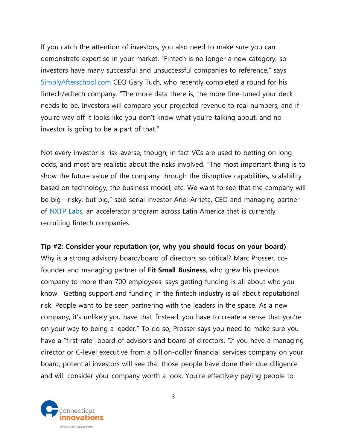If you catch the attention of investors, you also need to make sure you can demonstrate expertise in your market. "Fintech is no longer a new category, so investors have many successful and unsuccessful companies to reference," says [SimplyAfterschool.com](http://simplyafterschool.com/) CEO Gary Tuch, who recently completed a round for his fintech/edtech company. "The more data there is, the more fine-tuned your deck needs to be. Investors will compare your projected revenue to real numbers, and if you're way off it looks like you don't know what you're talking about, and no investor is going to be a part of that."

Not every investor is risk-averse, though; in fact VCs are used to betting on long odds, and most are realistic about the risks involved. "The most important thing is to show the future value of the company through the disruptive capabilities, scalability based on technology, the business model, etc. We want to see that the company will be big—risky, but big," said serial investor Ariel Arrieta, CEO and managing partner of [NXTP Labs,](http://www.nxtplabs.com/) an accelerator program across Latin America that is currently recruiting fintech companies.

#### **Tip #2: Consider your reputation (or, why you should focus on your board)**

Why is a strong advisory board/board of directors so critical? Marc Prosser, cofounder and managing partner of **[Fit Small Business](http://fitsmallbusiness.com/)**, who grew his previous company to more than 700 employees, says getting funding is all about who you know. "Getting support and funding in the fintech industry is all about reputational risk. People want to be seen partnering with the leaders in the space. As a new company, it's unlikely you have that. Instead, you have to create a sense that you're on your way to being a leader." To do so, Prosser says you need to make sure you have a "first-rate" board of advisors and board of directors. "If you have a managing director or C-level executive from a billion-dollar financial services company on your board, potential investors will see that those people have done their due diligence and will consider your company worth a look. You're effectively paying people to

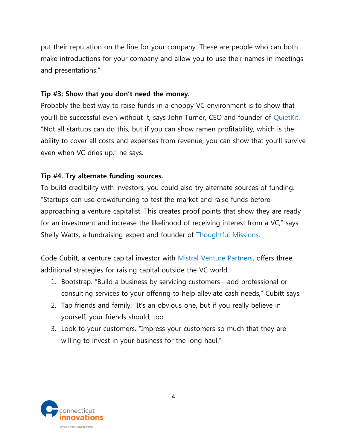put their reputation on the line for your company. These are people who can both make introductions for your company and allow you to use their names in meetings and presentations."

#### **Tip #3: Show that you don't need the money.**

Probably the best way to raise funds in a choppy VC environment is to show that you'll be successful even without it, says John Turner, CEO and founder of [QuietKit.](http://quietkit.com/) "Not all startups can do this, but if you can show ramen profitability, which is the ability to cover all costs and expenses from revenue, you can show that you'll survive even when VC dries up," he says.

#### **Tip #4. Try alternate funding sources.**

To build credibility with investors, you could also try alternate sources of funding. "Startups can use crowdfunding to test the market and raise funds before approaching a venture capitalist. This creates proof points that show they are ready for an investment and increase the likelihood of receiving interest from a VC," says Shelly Watts, a fundraising expert and founder of [Thoughtful Missions.](http://www.thoughtfulmissions.org/about/)

Code Cubitt, a venture capital investor with [Mistral Venture Partners,](http://www.mistralvp.com/) offers three additional strategies for raising capital outside the VC world.

- 1. Bootstrap. "Build a business by servicing customers—add professional or consulting services to your offering to help alleviate cash needs," Cubitt says.
- 2. Tap friends and family. "It's an obvious one, but if you really believe in yourself, your friends should, too.
- 3. Look to your customers. "Impress your customers so much that they are willing to invest in your business for the long haul."

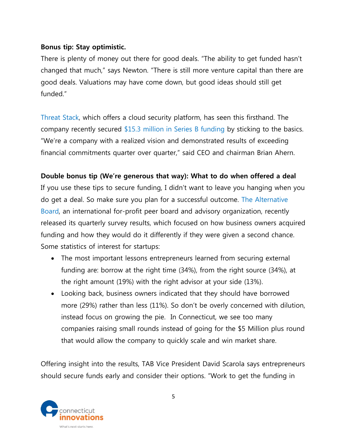## **Bonus tip: Stay optimistic.**

There is plenty of money out there for good deals. "The ability to get funded hasn't changed that much," says Newton. "There is still more venture capital than there are good deals. Valuations may have come down, but good ideas should still get funded."

[Threat Stack,](https://www.threatstack.com/) which offers a cloud security platform, has seen this firsthand. The company recently secured [\\$15.3 million in Series B funding](https://www.threatstack.com/press-releases/threat-stack-secures-15.3-million-in-series-b-funding-to-drive-more-efficie) by sticking to the basics. "We're a company with a realized vision and demonstrated results of exceeding financial commitments quarter over quarter," said CEO and chairman Brian Ahern.

### **Double bonus tip (We're generous that way): What to do when offered a deal**

If you use these tips to secure funding, I didn't want to leave you hanging when you do get a deal. So make sure you plan for a successful outcome. [The Alternative](http://t.sidekickopen36.com/e1t/c/5/f18dQhb0S7lC8dDMPbW2n0x6l2B9nMJW7t5XZs64Jd-6MfD3ClcW2wxW7gs3QC56dS9mf5LmNTW02?t=http%3A%2F%2Fwww.thealternativeboard.com%2F&si=5592507470053376&pi=7b9b887e-e5d6-41d7-cd1b-1172e4fabd54)  [Board,](http://t.sidekickopen36.com/e1t/c/5/f18dQhb0S7lC8dDMPbW2n0x6l2B9nMJW7t5XZs64Jd-6MfD3ClcW2wxW7gs3QC56dS9mf5LmNTW02?t=http%3A%2F%2Fwww.thealternativeboard.com%2F&si=5592507470053376&pi=7b9b887e-e5d6-41d7-cd1b-1172e4fabd54) an international for-profit peer board and advisory organization, recently released its quarterly survey results, which focused on how business owners acquired funding and how they would do it differently if they were given a second chance. Some statistics of interest for startups:

- The most important lessons entrepreneurs learned from securing external funding are: borrow at the right time (34%), from the right source (34%), at the right amount (19%) with the right advisor at your side (13%).
- Looking back, business owners indicated that they should have borrowed more (29%) rather than less (11%). So don't be overly concerned with dilution, instead focus on growing the pie. In Connecticut, we see too many companies raising small rounds instead of going for the \$5 Million plus round that would allow the company to quickly scale and win market share.

Offering insight into the results, TAB Vice President David Scarola says entrepreneurs should secure funds early and consider their options. "Work to get the funding in